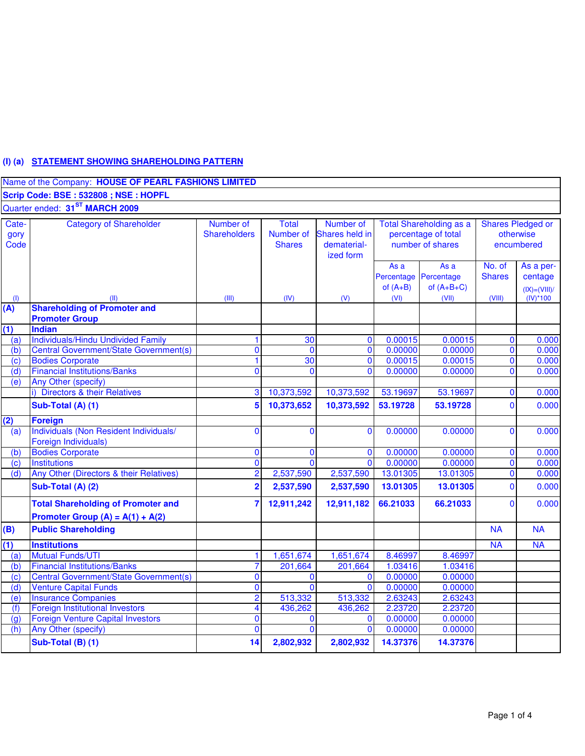# **(I) (a) STATEMENT SHOWING SHAREHOLDING PATTERN**

|                       | Name of the Company: HOUSE OF PEARL FASHIONS LIMITED                            |                                  |                                            |                                                         |                            |                                                                           |                                                     |                                                         |
|-----------------------|---------------------------------------------------------------------------------|----------------------------------|--------------------------------------------|---------------------------------------------------------|----------------------------|---------------------------------------------------------------------------|-----------------------------------------------------|---------------------------------------------------------|
|                       | Scrip Code: BSE: 532808; NSE: HOPFL                                             |                                  |                                            |                                                         |                            |                                                                           |                                                     |                                                         |
|                       | Quarter ended: 31 <sup>ST</sup> MARCH 2009                                      |                                  |                                            |                                                         |                            |                                                                           |                                                     |                                                         |
| Cate-<br>gory<br>Code | <b>Category of Shareholder</b>                                                  | Number of<br><b>Shareholders</b> | <b>Total</b><br>Number of<br><b>Shares</b> | Number of<br>Shares held in<br>dematerial-<br>ized form |                            | <b>Total Shareholding as a</b><br>percentage of total<br>number of shares | <b>Shares Pledged or</b><br>otherwise<br>encumbered |                                                         |
|                       | (11)                                                                            | (III)                            | (IV)                                       | (V)                                                     | As a<br>of $(A+B)$<br>(VI) | As a<br>Percentage Percentage<br>of $(A+B+C)$<br>(VII)                    | No. of<br><b>Shares</b><br>(VIII)                   | As a per-<br>centage<br>$(IX) = (VIII)/$<br>$(IV)^*100$ |
| (1)<br>(A)            | <b>Shareholding of Promoter and</b>                                             |                                  |                                            |                                                         |                            |                                                                           |                                                     |                                                         |
|                       | <b>Promoter Group</b>                                                           |                                  |                                            |                                                         |                            |                                                                           |                                                     |                                                         |
| (1)                   | <b>Indian</b>                                                                   |                                  |                                            |                                                         |                            |                                                                           |                                                     |                                                         |
| (a)                   | <b>Individuals/Hindu Undivided Family</b>                                       | 1                                | 30                                         | $\mathbf{0}$                                            | 0.00015                    | 0.00015                                                                   | $\mathbf{0}$                                        | 0.000                                                   |
| (b)                   | <b>Central Government/State Government(s)</b>                                   | $\mathbf{0}$                     | $\mathbf 0$                                | $\mathbf{0}$                                            | 0.00000                    | 0.00000                                                                   | $\mathbf 0$                                         | 0.000                                                   |
| (c)                   | <b>Bodies Corporate</b>                                                         | $\mathbf{1}$                     | 30                                         | $\mathbf{0}$                                            | 0.00015                    | 0.00015                                                                   | $\mathbf 0$                                         | 0.000                                                   |
| (d)                   | <b>Financial Institutions/Banks</b>                                             | $\overline{0}$                   | $\mathbf{0}$                               | $\mathbf{0}$                                            | 0.00000                    | 0.00000                                                                   | $\mathbf{0}$                                        | 0.000                                                   |
| (e)                   | Any Other (specify)                                                             |                                  |                                            |                                                         |                            |                                                                           |                                                     |                                                         |
|                       | i) Directors & their Relatives                                                  | 3                                | 10,373,592                                 | 10,373,592                                              | 53.19697                   | 53.19697                                                                  | $\mathbf{0}$                                        | 0.000                                                   |
|                       | Sub-Total (A) (1)                                                               | 5                                | 10,373,652                                 | 10,373,592                                              | 53.19728                   | 53.19728                                                                  | $\Omega$                                            | 0.000                                                   |
| (2)                   | <b>Foreign</b>                                                                  |                                  |                                            |                                                         |                            |                                                                           |                                                     |                                                         |
| (a)                   | Individuals (Non Resident Individuals/<br>Foreign Individuals)                  | $\mathbf{0}$                     | $\mathbf{0}$                               | $\mathbf{0}$                                            | 0.00000                    | 0.00000                                                                   | $\mathbf{0}$                                        | 0.000                                                   |
| (b)                   | <b>Bodies Corporate</b>                                                         | $\mathbf{0}$                     | $\mathbf{0}$                               | $\Omega$                                                | 0.00000                    | 0.00000                                                                   | $\mathbf 0$                                         | 0.000                                                   |
| (c)                   | <b>Institutions</b>                                                             | $\overline{0}$                   | $\mathbf{0}$                               | $\Omega$                                                | 0.00000                    | 0.00000                                                                   | $\mathbf 0$                                         | 0.000                                                   |
| (d)                   | Any Other (Directors & their Relatives)                                         | $\overline{2}$                   | 2,537,590                                  | 2,537,590                                               | 13.01305                   | 13.01305                                                                  | $\overline{\mathbf{0}}$                             | 0.000                                                   |
|                       | Sub-Total (A) (2)                                                               | $\overline{\mathbf{2}}$          | 2,537,590                                  | 2,537,590                                               | 13.01305                   | 13.01305                                                                  | $\mathbf 0$                                         | 0.000                                                   |
|                       | <b>Total Shareholding of Promoter and</b><br>Promoter Group $(A) = A(1) + A(2)$ | $\overline{7}$                   | 12,911,242                                 | 12,911,182                                              | 66.21033                   | 66.21033                                                                  | $\Omega$                                            | 0.000                                                   |
| (B)                   | <b>Public Shareholding</b>                                                      |                                  |                                            |                                                         |                            |                                                                           | <b>NA</b>                                           | <b>NA</b>                                               |
| (1)                   | <b>Institutions</b>                                                             |                                  |                                            |                                                         |                            |                                                                           | <b>NA</b>                                           | <b>NA</b>                                               |
| (a)                   | <b>Mutual Funds/UTI</b>                                                         | 1                                | 1,651,674                                  | 1,651,674                                               | 8.46997                    | 8.46997                                                                   |                                                     |                                                         |
| (b)                   | <b>Financial Institutions/Banks</b>                                             | 7                                | 201,664                                    | 201,664                                                 | 1.03416                    | 1.03416                                                                   |                                                     |                                                         |
| (c)                   | Central Government/State Government(s)                                          | $\overline{0}$                   | $\bf{0}$                                   | $\mathbf{0}$                                            | 0.00000                    | 0.00000                                                                   |                                                     |                                                         |
| (d)                   | <b>Venture Capital Funds</b>                                                    | $\mathbf 0$                      | $\Omega$                                   | $\Omega$                                                | 0.00000                    | 0.00000                                                                   |                                                     |                                                         |
| (e)                   | <b>Insurance Companies</b>                                                      | $\overline{2}$                   | 513,332                                    | 513,332                                                 | 2.63243                    | 2.63243                                                                   |                                                     |                                                         |
| (f)                   | <b>Foreign Institutional Investors</b>                                          | $\overline{\mathbf{4}}$          | 436,262                                    | 436,262                                                 | 2.23720                    | 2.23720                                                                   |                                                     |                                                         |
| $\overline{g}$        | <b>Foreign Venture Capital Investors</b>                                        | $\mathbf{0}$                     | $\mathbf{0}$                               | $\Omega$                                                | 0.00000                    | 0.00000                                                                   |                                                     |                                                         |
| (h)                   | <b>Any Other (specify)</b>                                                      | $\mathbf 0$                      | $\mathbf{0}$                               | $\Omega$                                                | 0.00000                    | 0.00000                                                                   |                                                     |                                                         |
|                       | Sub-Total (B) (1)                                                               | 14                               | 2,802,932                                  | 2,802,932                                               | 14.37376                   | 14.37376                                                                  |                                                     |                                                         |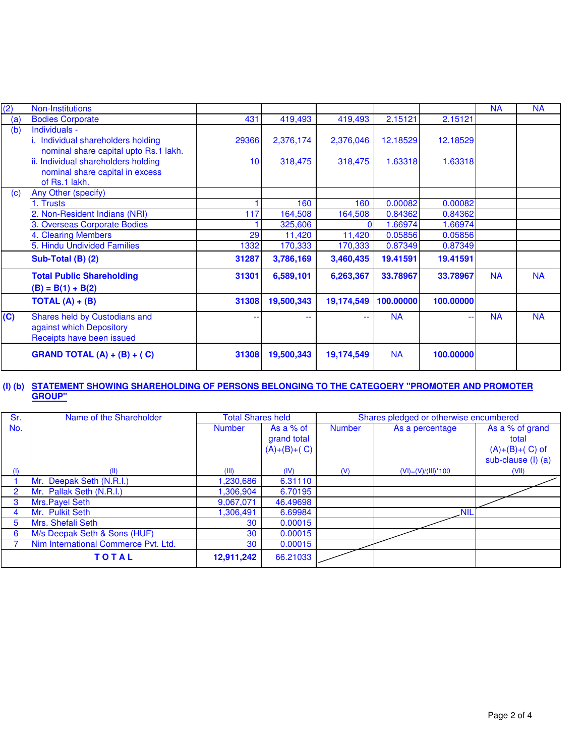| (2)                     | Non-Institutions                                                                             |                 |            |            |           |           | <b>NA</b> | <b>NA</b> |
|-------------------------|----------------------------------------------------------------------------------------------|-----------------|------------|------------|-----------|-----------|-----------|-----------|
| (a)                     | <b>Bodies Corporate</b>                                                                      | 431             | 419,493    | 419,493    | 2.15121   | 2.15121   |           |           |
| (b)                     | Individuals -<br>i. Individual shareholders holding<br>nominal share capital upto Rs.1 lakh. | 29366           | 2,376,174  | 2,376,046  | 12.18529  | 12.18529  |           |           |
|                         | ii. Individual shareholders holding<br>nominal share capital in excess<br>of Rs.1 lakh.      | 10 <sup>1</sup> | 318,475    | 318,475    | 1.63318   | 1.63318   |           |           |
| (c)                     | Any Other (specify)                                                                          |                 |            |            |           |           |           |           |
|                         | 1. Trusts                                                                                    |                 | 160        | 160        | 0.00082   | 0.00082   |           |           |
|                         | 2. Non-Resident Indians (NRI)                                                                | 117             | 164,508    | 164,508    | 0.84362   | 0.84362   |           |           |
|                         | 3. Overseas Corporate Bodies                                                                 |                 | 325,606    | n          | 1.66974   | 1.66974   |           |           |
|                         | 4. Clearing Members                                                                          | 29              | 11,420     | 11,420     | 0.05856   | 0.05856   |           |           |
|                         | 5. Hindu Undivided Families                                                                  | 1332            | 170,333    | 170,333    | 0.87349   | 0.87349   |           |           |
|                         | Sub-Total (B) (2)                                                                            | 31287           | 3,786,169  | 3,460,435  | 19.41591  | 19.41591  |           |           |
|                         | <b>Total Public Shareholding</b><br>$(B) = B(1) + B(2)$                                      | 31301           | 6,589,101  | 6,263,367  | 33.78967  | 33.78967  | <b>NA</b> | <b>NA</b> |
|                         | TOTAL $(A) + (B)$                                                                            | 31308           | 19,500,343 | 19,174,549 | 100.00000 | 100.00000 |           |           |
| $\overline{\textbf{c}}$ | Shares held by Custodians and<br>against which Depository<br>Receipts have been issued       |                 | 44         | $\sim$     | <b>NA</b> | н.        | <b>NA</b> | <b>NA</b> |
|                         | GRAND TOTAL $(A) + (B) + (C)$                                                                | 31308           | 19,500,343 | 19,174,549 | <b>NA</b> | 100.00000 |           |           |

#### **(I) (b) STATEMENT SHOWING SHAREHOLDING OF PERSONS BELONGING TO THE CATEGOERY "PROMOTER AND PROMOTER GROUP"**

| Sr. | Name of the Shareholder              | <b>Total Shares held</b> |                                             |               | Shares pledged or otherwise encumbered |                                                                    |
|-----|--------------------------------------|--------------------------|---------------------------------------------|---------------|----------------------------------------|--------------------------------------------------------------------|
| No. |                                      | <b>Number</b>            | As a $%$ of<br>grand total<br>$(A)+(B)+(C)$ | <b>Number</b> | As a percentage                        | As a % of grand<br>total<br>$(A)+(B)+(C)$ of<br>sub-clause (I) (a) |
| (1) | (II)                                 | (III)                    | (IV)                                        | (V)           | $(VI) = (V)/(III)^*100$                | (VII)                                                              |
|     | Mr. Deepak Seth (N.R.I.)             | ,230,686                 | 6.31110                                     |               |                                        |                                                                    |
| 2   | Mr. Pallak Seth (N.R.I.)             | 1,306,904                | 6.70195                                     |               |                                        |                                                                    |
| 3   | Mrs. Payel Seth                      | 9,067,071                | 46.49698                                    |               |                                        |                                                                    |
| 4   | Mr. Pulkit Seth                      | 1,306,491                | 6.69984                                     |               | <b>NIL</b>                             |                                                                    |
| 5   | Mrs. Shefali Seth                    | 30                       | 0.00015                                     |               |                                        |                                                                    |
| 6   | M/s Deepak Seth & Sons (HUF)         | 30                       | 0.00015                                     |               |                                        |                                                                    |
|     | Nim International Commerce Pvt. Ltd. | 30                       | 0.00015                                     |               |                                        |                                                                    |
|     | <b>TOTAL</b>                         | 12,911,242               | 66.21033                                    |               |                                        |                                                                    |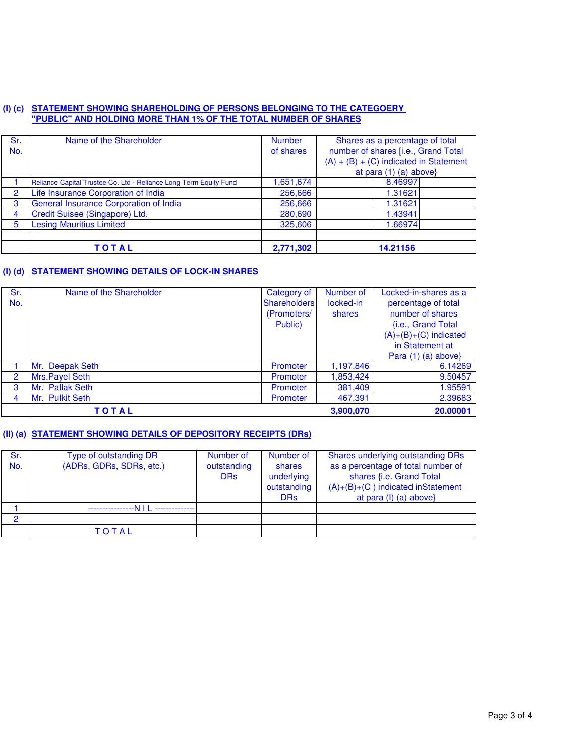### **(I) (c) STATEMENT SHOWING SHAREHOLDING OF PERSONS BELONGING TO THE CATEGOERY "PUBLIC" AND HOLDING MORE THAN 1% OF THE TOTAL NUMBER OF SHARES**

| Sr.<br>No. | Name of the Shareholder                                           | <b>Number</b><br>of shares | Shares as a percentage of total<br>number of shares [i.e., Grand Total<br>$(A) + (B) + (C)$ indicated in Statement<br>at para (1) (a) above} |
|------------|-------------------------------------------------------------------|----------------------------|----------------------------------------------------------------------------------------------------------------------------------------------|
|            | Reliance Capital Trustee Co. Ltd - Reliance Long Term Equity Fund | 1,651,674                  | 8.46997                                                                                                                                      |
| 2          | Life Insurance Corporation of India                               | 256,666                    | 1.31621                                                                                                                                      |
| 3          | General Insurance Corporation of India                            | 256,666                    | 1.31621                                                                                                                                      |
| 4          | Credit Suisee (Singapore) Ltd.                                    | 280,690                    | 1.43941                                                                                                                                      |
| 5          | <b>Lesing Mauritius Limited</b>                                   | 325,606                    | 1.66974                                                                                                                                      |
|            |                                                                   |                            |                                                                                                                                              |
|            | TOTAL                                                             | 2,771,302                  | 14.21156                                                                                                                                     |

# **(I) (d) STATEMENT SHOWING DETAILS OF LOCK-IN SHARES**

| Sr.            | Name of the Shareholder | Category of  | Number of | Locked-in-shares as a   |
|----------------|-------------------------|--------------|-----------|-------------------------|
| No.            |                         | Shareholders | locked-in | percentage of total     |
|                |                         | (Promoters/  | shares    | number of shares        |
|                |                         | Public)      |           | {i.e., Grand Total      |
|                |                         |              |           | $(A)+(B)+(C)$ indicated |
|                |                         |              |           | in Statement at         |
|                |                         |              |           | Para $(1)$ $(a)$ above} |
|                | Mr. Deepak Seth         | Promoter     | 1,197,846 | 6.14269                 |
| $\overline{2}$ | Mrs. Payel Seth         | Promoter     | 1,853,424 | 9.50457                 |
| 3              | Mr. Pallak Seth         | Promoter     | 381,409   | 1.95591                 |
| 4              | Mr. Pulkit Seth         | Promoter     | 467,391   | 2.39683                 |
|                | <b>TOTAL</b>            |              | 3,900,070 | 20.00001                |

## **(II) (a) STATEMENT SHOWING DETAILS OF DEPOSITORY RECEIPTS (DRs)**

| Sr.<br>No. | Type of outstanding DR<br>(ADRs, GDRs, SDRs, etc.) | Number of<br>outstanding<br><b>DRs</b> | Number of<br>shares<br>underlying<br>outstanding<br><b>DRs</b> | Shares underlying outstanding DRs<br>as a percentage of total number of<br>shares {i.e. Grand Total<br>$(A)+(B)+(C)$ indicated inStatement<br>at para $(I)$ (a) above |
|------------|----------------------------------------------------|----------------------------------------|----------------------------------------------------------------|-----------------------------------------------------------------------------------------------------------------------------------------------------------------------|
|            |                                                    |                                        |                                                                |                                                                                                                                                                       |
| o          |                                                    |                                        |                                                                |                                                                                                                                                                       |
|            | TOTAL                                              |                                        |                                                                |                                                                                                                                                                       |